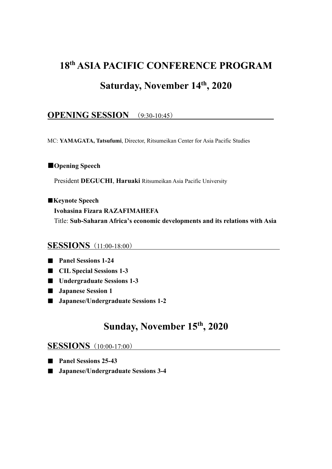# **18th ASIA PACIFIC CONFERENCE PROGRAM Saturday, November 14th, 2020**

#### **OPENING SESSION** (9:30-10:45)

MC: **YAMAGATA, Tatsufumi**, Director, Ritsumeikan Center for Asia Pacific Studies

#### ■**Opening Speech**

President **DEGUCHI**, **Haruaki** Ritsumeikan Asia Pacific University

■**Keynote Speech**

**Ivohasina Fizara RAZAFIMAHEFA** Title: **Sub-Saharan Africa's economic developments and its relations with Asia**

#### **SESSIONS** (11:00-18:00)

■ **Panel Sessions 1-24**

- **CIL Special Sessions** 1-3
- **Undergraduate Sessions 1-3**
- **Japanese Session 1**
- **Japanese/Undergraduate Sessions 1-2**

#### **Sunday, November 15th, 2020**

#### **SESSIONS** (10:00-17:00)

- **Panel Sessions 25-43**
- **Japanese/Undergraduate Sessions 3-4**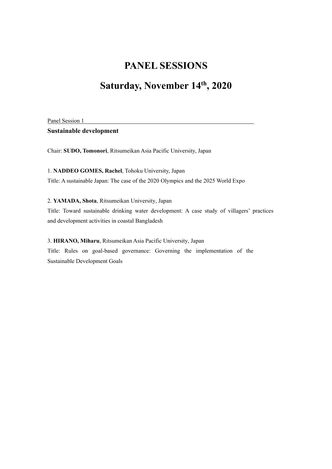# **Saturday, November 14th, 2020**

Panel Session 1

**Sustainable development**

Chair: **SUDO, Tomonori**, Ritsumeikan Asia Pacific University, Japan

1. **NADDEO GOMES, Rachel**, Tohoku University, Japan Title: A sustainable Japan: The case of the 2020 Olympics and the 2025 World Expo

2. **YAMADA, Shota**, Ritsumeikan University, Japan

Title: Toward sustainable drinking water development: A case study of villagers' practices and development activities in coastal Bangladesh

3. **HIRANO, Miharu**, Ritsumeikan Asia Pacific University, Japan Title: Rules on goal-based governance: Governing the implementation of the

Sustainable Development Goals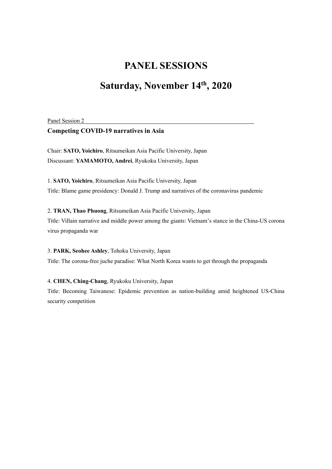## **Saturday, November 14th, 2020**

Panel Session 2

#### **Competing COVID-19 narratives in Asia**

Chair: **SATO, Yoichiro**, Ritsumeikan Asia Pacific University, Japan Discussant: **YAMAMOTO, Andrei**, Ryukoku University, Japan

1. **SATO, Yoichiro**, Ritsumeikan Asia Pacific University, Japan Title: Blame game presidency: Donald J. Trump and narratives of the coronavirus pandemic

2. **TRAN, Thao Phuong**, Ritsumeikan Asia Pacific University, Japan Title: Villain narrative and middle power among the giants: Vietnam's stance in the China-US corona virus propaganda war

3. **PARK, Seohee Ashley**, Tohoku University, Japan Title: The corona-free juche paradise: What North Korea wants to get through the propaganda

4. **CHEN, Ching-Chang**, Ryukoku University, Japan Title: Becoming Taiwanese: Epidemic prevention as nation-building amid heightened US-China security competition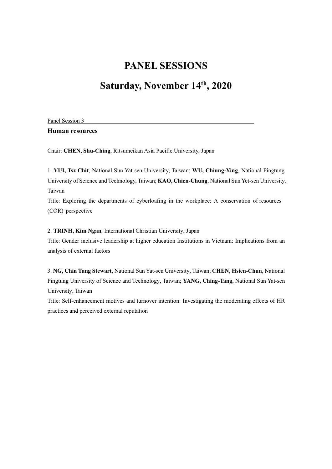## **Saturday, November 14th, 2020**

Panel Session 3

**Human resources**

Chair: **CHEN, Shu-Ching**, Ritsumeikan Asia Pacific University, Japan

1. **YUI, Tsz Chit**, National Sun Yat-sen University, Taiwan; **WU, Chiung-Ying**, National Pingtung University of Science and Technology, Taiwan; **KAO, Chien-Chung**, National Sun Yet-sen University, Taiwan

Title: Exploring the departments of cyberloafing in the workplace: A conservation of resources (COR) perspective

2. **TRINH, Kim Ngan**, International Christian University, Japan

Title: Gender inclusive leadership at higher education Institutions in Vietnam: Implications from an analysis of external factors

3. **NG, Chin Tung Stewart**, National Sun Yat-sen University, Taiwan; **CHEN, Hsien-Chun**, National Pingtung University of Science and Technology, Taiwan; **YANG, Ching-Tang**, National Sun Yat-sen University, Taiwan

Title: Self-enhancement motives and turnover intention: Investigating the moderating effects of HR practices and perceived external reputation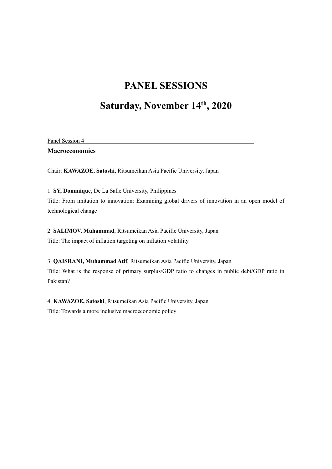## **Saturday, November 14th, 2020**

| Panel Session 4       |  |  |
|-----------------------|--|--|
| <b>Macroeconomics</b> |  |  |

Chair: **KAWAZOE, Satoshi**, Ritsumeikan Asia Pacific University, Japan

1. **SY, Dominique**, De La Salle University, Philippines Title: From imitation to innovation: Examining global drivers of innovation in an open model of technological change

2. **SALIMOV, Muhammad**, Ritsumeikan Asia Pacific University, Japan Title: The impact of inflation targeting on inflation volatility

3. **QAISRANI, Muhammad Atif**, Ritsumeikan Asia Pacific University, Japan Title: What is the response of primary surplus/GDP ratio to changes in public debt/GDP ratio in Pakistan?

4. **KAWAZOE, Satoshi**, Ritsumeikan Asia Pacific University, Japan Title: Towards a more inclusive macroeconomic policy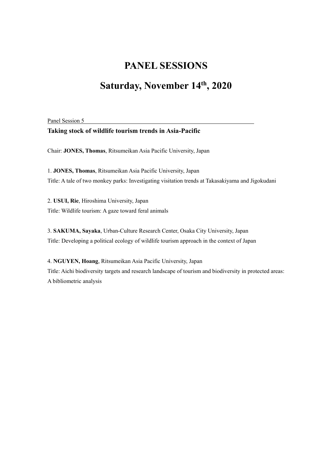# **Saturday, November 14th, 2020**

Panel Session 5

#### **Taking stock of wildlife tourism trends in Asia-Pacific**

Chair: **JONES, Thomas**, Ritsumeikan Asia Pacific University, Japan

1. **JONES, Thomas**, Ritsumeikan Asia Pacific University, Japan Title: A tale of two monkey parks: Investigating visitation trends at Takasakiyama and Jigokudani

2. **USUI, Rie**, Hiroshima University, Japan Title: Wildlife tourism: A gaze toward feral animals

3. **SAKUMA, Sayaka**, Urban-Culture Research Center, Osaka City University, Japan Title: Developing a political ecology of wildlife tourism approach in the context of Japan

4. **NGUYEN, Hoang**, Ritsumeikan Asia Pacific University, Japan Title: Aichi biodiversity targets and research landscape of tourism and biodiversity in protected areas: A bibliometric analysis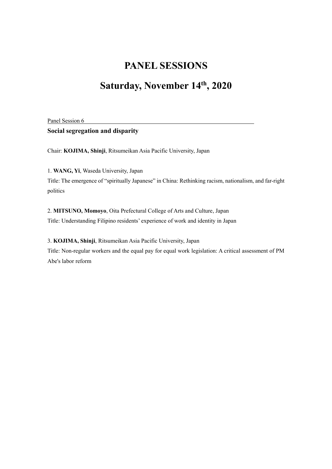# **Saturday, November 14th, 2020**

Panel Session 6

#### **Social segregation and disparity**

Chair: **KOJIMA, Shinji**, Ritsumeikan Asia Pacific University, Japan

1. **WANG, Yi**, Waseda University, Japan

Title: The emergence of "spiritually Japanese" in China: Rethinking racism, nationalism, and far-right politics

2. **MITSUNO, Momoyo**, Oita Prefectural College of Arts and Culture, Japan Title: Understanding Filipino residents' experience of work and identity in Japan

3. **KOJIMA, Shinji**, Ritsumeikan Asia Pacific University, Japan Title: Non-regular workers and the equal pay for equal work legislation: A critical assessment of PM Abe's labor reform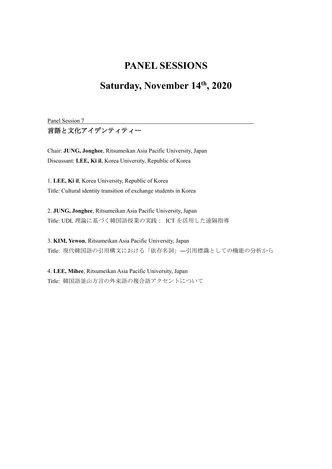## **Saturday, November 14th, 2020**

Panel Session 7

言語と文化アイデンティティー

Chair: **JUNG, Jonghee**, Ritsumeikan Asia Pacific University, Japan Discussant: **LEE, Ki il**, Korea University, Republic of Korea

1. **LEE, Ki il**, Korea University, Republic of Korea Title: Cultural identity transition of exchange students in Korea

2. **JUNG, Jonghee**, Ritsumeikan Asia Pacific University, Japan Title: UDL 理論に基づく韓国語授業の実践: ICT を活用した遠隔指導

3. **KIM, Yewon**, Ritsumeikan Asia Pacific University, Japan Title: 現代韓国語の引用構文における「依存名詞」―引用標識としての機能の分析から

4. **LEE, Mihee**, Ritsumeikan Asia Pacific University, Japan Title: 韓国語釜山方言の外来語の複合語アクセントについて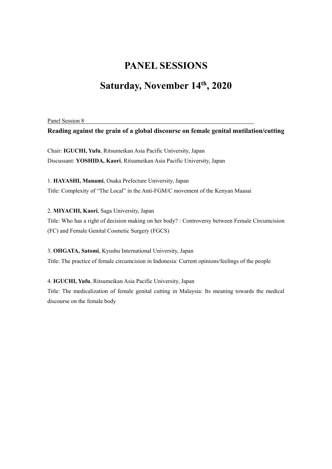## **Saturday, November 14th, 2020**

Panel Session 8

**Reading against the grain of a global discourse on female genital mutilation/cutting**

Chair: **IGUCHI, Yufu**, Ritsumeikan Asia Pacific University, Japan Discussant: **YOSHIDA, Kaori**, Ritsumeikan Asia Pacific University, Japan

1. **HAYASHI, Manami**, Osaka Prefecture University, Japan Title: Complexity of "The Local" in the Anti-FGM/C movement of the Kenyan Maasai

2. **MIYACHI, Kaori**, Saga University, Japan Title: Who has a right of decision making on her body? : Controversy between Female Circumcision (FC) and Female Genital Cosmetic Surgery (FGCS)

3. **OHGATA, Satomi**, Kyushu International University, Japan Title: The practice of female circumcision in Indonesia: Current opinions/feelings of the people

4. **IGUCHI, Yufu**, Ritsumeikan Asia Pacific University, Japan Title: The medicalization of female genital cutting in Malaysia: Its meaning towards the medical discourse on the female body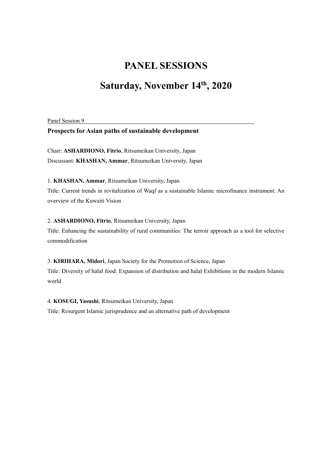## **Saturday, November 14th, 2020**

Panel Session 9

#### **Prospects for Asian paths of sustainable development**

Chair: **ASHARDIONO, Fitrio**, Ritsumeikan University, Japan Discussant: **KHASHAN, Ammar**, Ritsumeikan University, Japan

1. **KHASHAN, Ammar**, Ritsumeikan University, Japan Title: Current trends in revitalization of Waqf as a sustainable Islamic microfinance instrument: An overview of the Kuwaiti Vision

2. **ASHARDIONO, Fitrio**, Ritsumeikan University, Japan Title: Enhancing the sustainability of rural communities: The terroir approach as a tool for selective commodification

3. **KIRIHARA, Midori**, Japan Society for the Promotion of Science, Japan Title: Diversity of halal food: Expansion of distribution and halal Exhibitions in the modern Islamic world

4. **KOSUGI, Yasushi**, Ritsumeikan University, Japan Title: Resurgent Islamic jurisprudence and an alternative path of development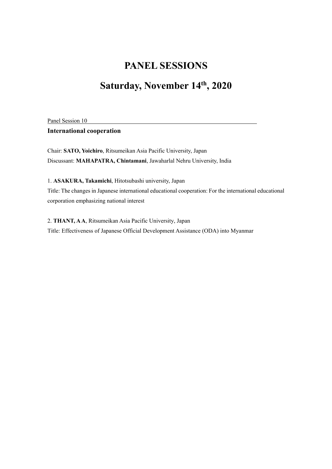# **Saturday, November 14th, 2020**

Panel Session 10

#### **International cooperation**

Chair: **SATO, Yoichiro**, Ritsumeikan Asia Pacific University, Japan Discussant: **MAHAPATRA, Chintamani**, Jawaharlal Nehru University, India

1. **ASAKURA, Takamichi**, Hitotsubashi university, Japan Title: The changes in Japanese international educational cooperation: For the international educational corporation emphasizing national interest

2. **THANT, A A**, Ritsumeikan Asia Pacific University, Japan Title: Effectiveness of Japanese Official Development Assistance (ODA) into Myanmar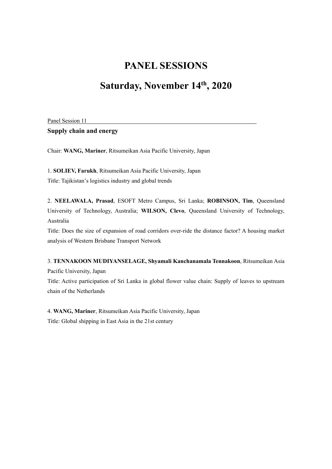## **Saturday, November 14th, 2020**

Panel Session 11

**Supply chain and energy**

Chair: **WANG, Mariner**, Ritsumeikan Asia Pacific University, Japan

1. **SOLIEV, Farukh**, Ritsumeikan Asia Pacific University, Japan Title: Tajikistan's logistics industry and global trends

2. **NEELAWALA, Prasad**, ESOFT Metro Campus, Sri Lanka; **ROBINSON, Tim**, Queensland University of Technology, Australia; **WILSON, Clevo**, Queensland University of Technology, Australia

Title: Does the size of expansion of road corridors over-ride the distance factor? A housing market analysis of Western Brisbane Transport Network

3. **TENNAKOON MUDIYANSELAGE, Shyamali Kanchanamala Tennakoon**, Ritsumeikan Asia Pacific University, Japan Title: Active participation of Sri Lanka in global flower value chain: Supply of leaves to upstream chain of the Netherlands

4. **WANG, Mariner**, Ritsumeikan Asia Pacific University, Japan Title: Global shipping in East Asia in the 21st century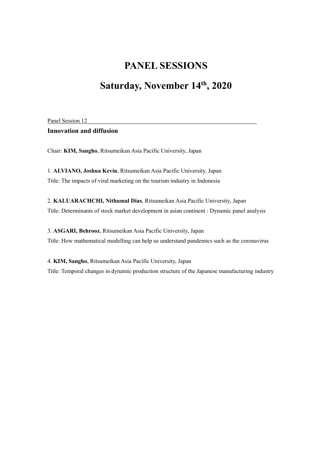# **Saturday, November 14th, 2020**

Panel Session 12

#### **Innovation and diffusion**

Chair: **KIM, Sangho**, Ritsumeikan Asia Pacific University, Japan

1. **ALVIANO, Joshua Kevin**, Ritsumeikan Asia Pacific University, Japan Title: The impacts of viral marketing on the tourism industry in Indonesia

2. **KALUARACHCHI, Nithumal Dias**, Ritsumeikan Asia Pacific University, Japan Title: Determinants of stock market development in asian continent : Dynamic panel analysis

3. **ASGARI, Behrooz**, Ritsumeikan Asia Pacific University, Japan Title: How mathematical modelling can help us understand pandemics such as the coronavirus

4. **KIM, Sangho**, Ritsumeikan Asia Pacific University, Japan Title: Temporal changes in dynamic production structure of the Japanese manufacturing industry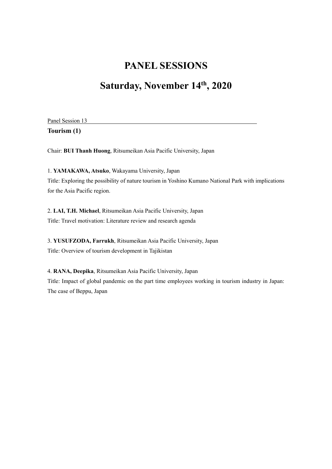# **Saturday, November 14th, 2020**

Panel Session 13

**Tourism (1)**

Chair: **BUI Thanh Huong**, Ritsumeikan Asia Pacific University, Japan

1. **YAMAKAWA, Atsuko**, Wakayama University, Japan Title: Exploring the possibility of nature tourism in Yoshino Kumano National Park with implications for the Asia Pacific region.

2. **LAI, T.H. Michael**, Ritsumeikan Asia Pacific University, Japan Title: Travel motivation: Literature review and research agenda

3. **YUSUFZODA, Farrukh**, Ritsumeikan Asia Pacific University, Japan Title: Overview of tourism development in Tajikistan

4. **RANA, Deepika**, Ritsumeikan Asia Pacific University, Japan Title: Impact of global pandemic on the part time employees working in tourism industry in Japan: The case of Beppu, Japan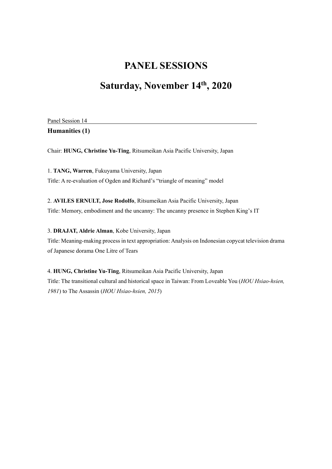## **Saturday, November 14th, 2020**

| Panel Session 14 |  |
|------------------|--|
| Humanities (1)   |  |

Chair: **HUNG, Christine Yu-Ting**, Ritsumeikan Asia Pacific University, Japan

1. **TANG, Warren**, Fukuyama University, Japan Title: A re-evaluation of Ogden and Richard's "triangle of meaning" model

2. **AVILES ERNULT, Jose Rodolfo**, Ritsumeikan Asia Pacific University, Japan Title: Memory, embodiment and the uncanny: The uncanny presence in Stephen King's IT

3. **DRAJAT, Aldrie Alman**, Kobe University, Japan Title: Meaning-making process in text appropriation: Analysis on Indonesian copycat television drama of Japanese dorama One Litre of Tears

4. **HUNG, Christine Yu-Ting**, Ritsumeikan Asia Pacific University, Japan Title: The transitional cultural and historical space in Taiwan: From Loveable You (*HOU Hsiao-hsien, 1981*) to The Assassin (*HOU Hsiao-hsien, 2015*)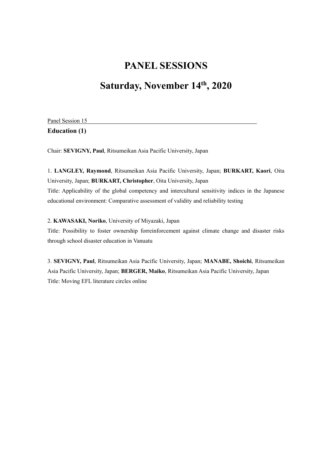# **Saturday, November 14th, 2020**

| Panel Session 15     |  |
|----------------------|--|
| <b>Education (1)</b> |  |

Chair: **SEVIGNY, Paul**, Ritsumeikan Asia Pacific University, Japan

1. **LANGLEY, Raymond**, Ritsumeikan Asia Pacific University, Japan; **BURKART, Kaori**, Oita University, Japan; **BURKART, Christopher**, Oita University, Japan Title: Applicability of the global competency and intercultural sensitivity indices in the Japanese educational environment: Comparative assessment of validity and reliability testing

#### 2. **KAWASAKI, Noriko**, University of Miyazaki, Japan

Title: Possibility to foster ownership forreinforcement against climate change and disaster risks through school disaster education in Vanuatu

3. **SEVIGNY, Paul**, Ritsumeikan Asia Pacific University, Japan; **MANABE, Shoichi**, Ritsumeikan Asia Pacific University, Japan; **BERGER, Maiko**, Ritsumeikan Asia Pacific University, Japan Title: Moving EFL literature circles online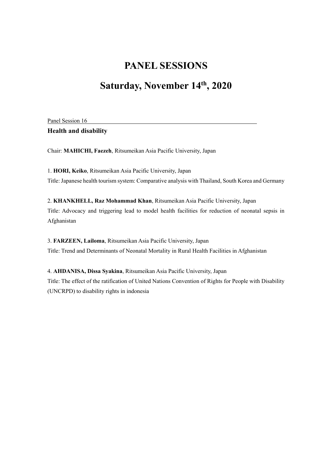## **Saturday, November 14th, 2020**

Panel Session 16

**Health and disability**

Chair: **MAHICHI, Faezeh**, Ritsumeikan Asia Pacific University, Japan

1. **HORI, Keiko**, Ritsumeikan Asia Pacific University, Japan Title: Japanese health tourism system: Comparative analysis with Thailand, South Korea and Germany

2. **KHANKHELL, Raz Mohammad Khan**, Ritsumeikan Asia Pacific University, Japan Title: Advocacy and triggering lead to model health facilities for reduction of neonatal sepsis in Afghanistan

3. **FARZEEN, Lailoma**, Ritsumeikan Asia Pacific University, Japan Title: Trend and Determinants of Neonatal Mortality in Rural Health Facilities in Afghanistan

4. **AHDANISA, Dissa Syakina**, Ritsumeikan Asia Pacific University, Japan Title: The effect of the ratification of United Nations Convention of Rights for People with Disability (UNCRPD) to disability rights in indonesia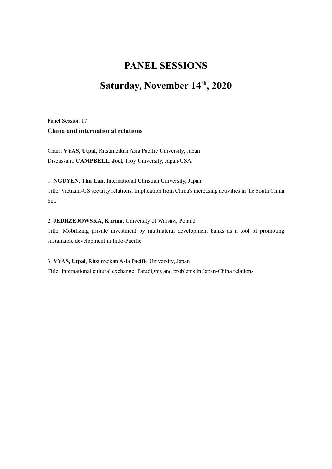# **Saturday, November 14th, 2020**

Panel Session 17

#### **China and international relations**

Chair: **VYAS, Utpal**, Ritsumeikan Asia Pacific University, Japan Discussant: **CAMPBELL, Joel**, Troy University, Japan/USA

1. **NGUYEN, Thu Lan**, International Christian University, Japan Title: Vietnam-US security relations: Implication from China's increasing activities in the South China Sea

2. **JEDRZEJOWSKA, Karina**, University of Warsaw, Poland Title: Mobilizing private investment by multilateral development banks as a tool of promoting sustainable development in Indo-Pacific

3. **VYAS, Utpal**, Ritsumeikan Asia Pacific University, Japan Title: International cultural exchange: Paradigms and problems in Japan-China relations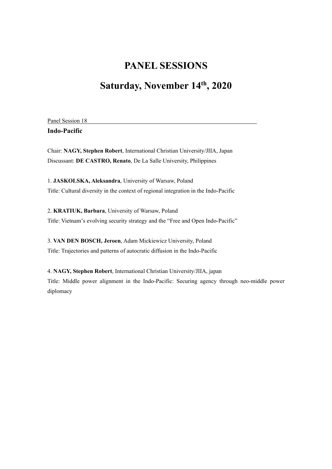# **Saturday, November 14th, 2020**

|  |            | Panel Session 18 |  |
|--|------------|------------------|--|
|  | $\sqrt{ }$ | . .              |  |

**Indo-Pacific**

Chair: **NAGY, Stephen Robert**, International Christian University/JIIA, Japan Discussant: **DE CASTRO, Renato**, De La Salle University, Philippines

1. **JASKOLSKA, Aleksandra**, University of Warsaw, Poland Title: Cultural diversity in the context of regional integration in the Indo-Pacific

2. **KRATIUK, Barbara**, University of Warsaw, Poland Title: Vietnam's evolving security strategy and the "Free and Open Indo-Pacific"

3. **VAN DEN BOSCH, Jeroen**, Adam Mickiewicz University, Poland Title: Trajectories and patterns of autocratic diffusion in the Indo-Pacific

4. **NAGY, Stephen Robert**, International Christian University/JIIA, japan Title: Middle power alignment in the Indo-Pacific: Securing agency through neo-middle power diplomacy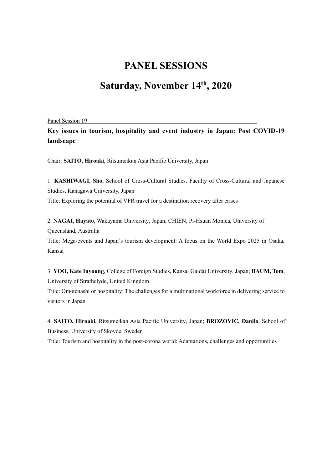## **Saturday, November 14th, 2020**

Panel Session 19

**Key issues in tourism, hospitality and event industry in Japan: Post COVID-19 landscape**

Chair: **SAITO, Hiroaki**, Ritsumeikan Asia Pacific University, Japan

1. **KASHIWAGI, Sho**, School of Cross-Cultural Studies, Faculty of Cross-Cultural and Japanese Studies, Kanagawa University, Japan Title: Exploring the potential of VFR travel for a destination recovery after crises

2. **NAGAI, Hayato**, Wakayama University, Japan; CHIEN, Pi-Hsuan Monica, University of Queensland, Australia

Title: Mega-events and Japan's tourism development: A focus on the World Expo 2025 in Osaka, Kansai

3. **YOO, Kate Inyoung**, College of Foreign Studies, Kansai Gaidai University, Japan; **BAUM, Tom**, University of Strathclyde, United Kingdom Title: Omotenashi or hospitality: The challenges for a multinational workforce in delivering service to visitors in Japan

4. **SAITO, Hiroaki**, Ritsumeikan Asia Pacific University, Japan; **BROZOVIC, Danilo**, School of Business, University of Skovde, Sweden

Title: Tourism and hospitality in the post-corona world: Adaptations, challenges and opportunities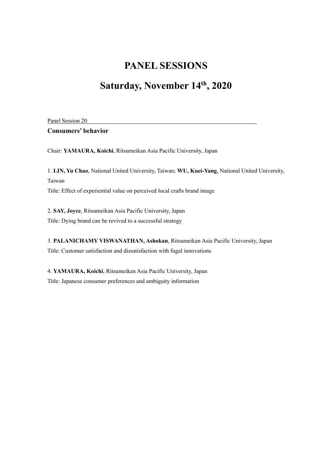# **Saturday, November 14th, 2020**

Panel Session 20

**Consumers' behavior**

Chair: **YAMAURA, Koichi**, Ritsumeikan Asia Pacific University, Japan

1. **LIN, Yu Chao**, National United University, Taiwan; **WU, Kuei-Yang**, National United University, Taiwan Title: Effect of experiential value on perceived local crafts brand image

2. **SAY, Joyce**, Ritsumeikan Asia Pacific University, Japan Title: Dying brand can be revived to a successful strategy

3. **PALANICHAMY VISWANATHAN, Ashokan**, Ritsumeikan Asia Pacific University, Japan Title: Customer satisfaction and dissatisfaction with fugal innovations

4. **YAMAURA, Koichi**, Ritsumeikan Asia Pacific University, Japan Title: Japanese consumer preferences and ambiguity information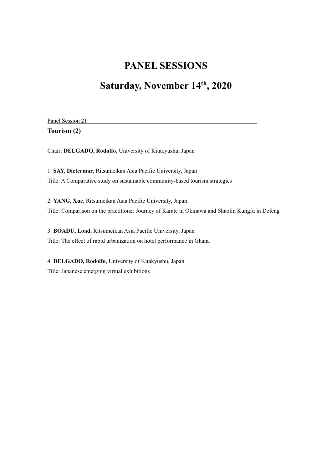# **Saturday, November 14th, 2020**

Panel Session 21

**Tourism (2)**

Chair: **DELGADO, Rodolfo**, University of Kitakyushu, Japan

1. **SAY, Dietermar**, Ritsumeikan Asia Pacific University, Japan Title: A Comparative study on sustainable community-based tourism strategies

2. **YANG, Xue**, Ritsumeikan Asia Pacific University, Japan Title: Comparison on the practitioner Journey of Karate in Okinawa and Shaolin Kungfu in Defeng

3. **BOADU, Load**, Ritsumeikan Asia Pacific University, Japan Title: The effect of rapid urbanization on hotel performance in Ghana

4. **DELGADO, Rodolfo**, University of Kitakyushu, Japan Title: Japanese emerging virtual exhibitions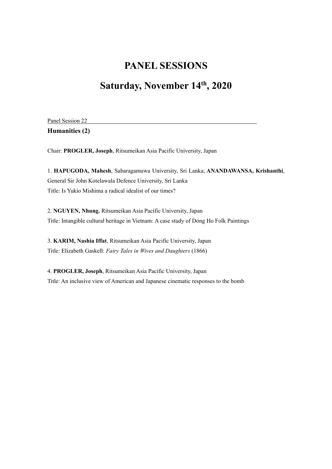# **Saturday, November 14th, 2020**

| Panel Session 22 |
|------------------|
| Humanities (2)   |

Chair: **PROGLER, Joseph**, Ritsumeikan Asia Pacific University, Japan

1. **HAPUGODA, Mahesh**, Sabaragamuwa University, Sri Lanka; **ANANDAWANSA, Krishanthi**, General Sir John Kotelawala Defence University, Sri Lanka Title: Is Yukio Mishima a radical idealist of our times?

2. **NGUYEN, Nhung**, Ritsumeikan Asia Pacific University, Japan Title: Intangible cultural heritage in Vietnam: A case study of Dong Ho Folk Paintings

3. **KARIM, Nashia Iffat**, Ritsumeikan Asia Pacific University, Japan Title: Elizabeth Gaskell: *Fairy Tales in Wives and Daughters* (1866)

4. **PROGLER, Joseph**, Ritsumeikan Asia Pacific University, Japan Title: An inclusive view of American and Japanese cinematic responses to the bomb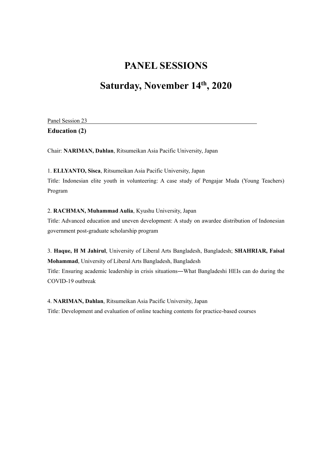## **Saturday, November 14th, 2020**

| Panel Session 23     |
|----------------------|
| <b>Education (2)</b> |

Chair: **NARIMAN, Dahlan**, Ritsumeikan Asia Pacific University, Japan

1. **ELLYANTO, Sisca**, Ritsumeikan Asia Pacific University, Japan

Title: Indonesian elite youth in volunteering: A case study of Pengajar Muda (Young Teachers) Program

#### 2. **RACHMAN, Muhammad Aulia**, Kyushu University, Japan

Title: Advanced education and uneven development: A study on awardee distribution of Indonesian government post-graduate scholarship program

3. **Haque, H M Jahirul**, University of Liberal Arts Bangladesh, Bangladesh; **SHAHRIAR, Faisal Mohammad**, University of Liberal Arts Bangladesh, Bangladesh Title: Ensuring academic leadership in crisis situations―What Bangladeshi HEIs can do during the COVID-19 outbreak

4. **NARIMAN, Dahlan**, Ritsumeikan Asia Pacific University, Japan Title: Development and evaluation of online teaching contents for practice-based courses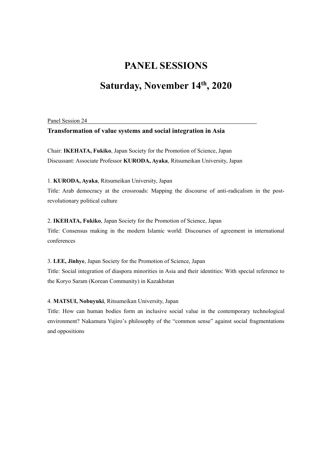## **Saturday, November 14th, 2020**

Panel Session 24

#### **Transformation of value systems and social integration in Asia**

Chair: **IKEHATA, Fukiko**, Japan Society for the Promotion of Science, Japan Discussant: Associate Professor **KURODA, Ayaka**, Ritsumeikan University, Japan

1. **KURODA, Ayaka**, Ritsumeikan University, Japan

Title: Arab democracy at the crossroads: Mapping the discourse of anti-radicalism in the postrevolutionary political culture

2. **IKEHATA, Fukiko**, Japan Society for the Promotion of Science, Japan

Title: Consensus making in the modern Islamic world: Discourses of agreement in international conferences

3. **LEE, Jinhye**, Japan Society for the Promotion of Science, Japan Title: Social integration of diaspora minorities in Asia and their identities: With special reference to the Koryo Saram (Korean Community) in Kazakhstan

4. **MATSUI, Nobuyuki**, Ritsumeikan University, Japan

Title: How can human bodies form an inclusive social value in the contemporary technological environment? Nakamura Yujiro's philosophy of the "common sense" against social fragmentations and oppositions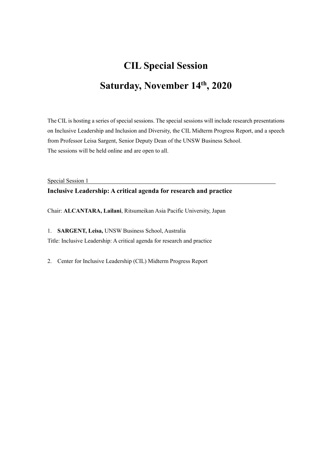# **CIL Special Session Saturday, November 14th, 2020**

The CIL is hosting a series of special sessions. The special sessions will include research presentations on Inclusive Leadership and Inclusion and Diversity, the CIL Midterm Progress Report, and a speech from Professor Leisa Sargent, Senior Deputy Dean of the UNSW Business School. The sessions will be held online and are open to all.

Special Session 1

#### **Inclusive Leadership: A critical agenda for research and practice**

Chair: **ALCANTARA, Lailani**, Ritsumeikan Asia Pacific University, Japan

1. **SARGENT, Leisa,** UNSW Business School, Australia Title: Inclusive Leadership: A critical agenda for research and practice

2. Center for Inclusive Leadership (CIL) Midterm Progress Report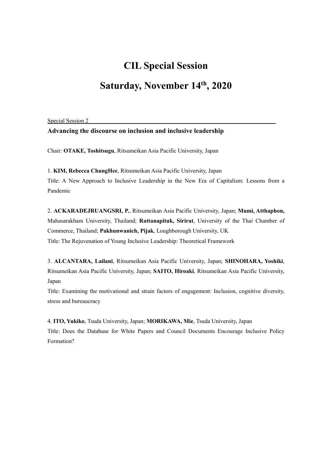### **CIL Special Session**

## **Saturday, November 14th, 2020**

Special Session 2

**Advancing the discourse on inclusion and inclusive leadership**

Chair: **OTAKE, Toshitsugu**, Ritsumeikan Asia Pacific University, Japan

1. **KIM, Rebecca ChungHee**, Ritsumeikan Asia Pacific University, Japan

Title: A New Approach to Inclusive Leadership in the New Era of Capitalism: Lessons from a Pandemic

2. **ACKARADEJRUANGSRI, P.**, Ritsumeikan Asia Pacific University, Japan; **Mumi, Atthaphon,**  Mahasarakham University, Thailand; **Rattanapituk, Sirirat**, University of the Thai Chamber of Commerce, Thailand; **Pakhunwanich, Pijak**, Loughborough University, UK Title: The Rejuvenation of Young Inclusive Leadership: Theoretical Framework

3. **ALCANTARA, Lailani**, Ritsumeikan Asia Pacific University, Japan; **SHINOHARA, Yoshiki**, Ritsumeikan Asia Pacific University, Japan; **SAITO, Hiroaki**, Ritsumeikan Asia Pacific University, Japan

Title: Examining the motivational and strain factors of engagement: Inclusion, cognitive diversity, stress and bureaucracy

4. **ITO, Yukiko**, Tsuda University, Japan; **MORIKAWA, Mie**, Tsuda University, Japan Title: Does the Database for White Papers and Council Documents Encourage Inclusive Policy Formation?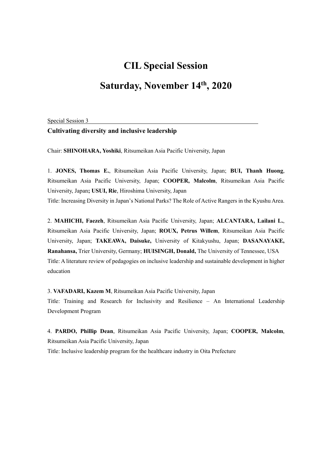#### **CIL Special Session**

## **Saturday, November 14th, 2020**

Special Session 3

#### **Cultivating diversity and inclusive leadership**

Chair: **SHINOHARA, Yoshiki**, Ritsumeikan Asia Pacific University, Japan

1. **JONES, Thomas E.**, Ritsumeikan Asia Pacific University, Japan; **BUI, Thanh Huong**, Ritsumeikan Asia Pacific University, Japan; **COOPER, Malcolm**, Ritsumeikan Asia Pacific University, Japan**; USUI, Rie**, Hiroshima University, Japan

Title: Increasing Diversity in Japan's National Parks? The Role of Active Rangers in the Kyushu Area.

2. **MAHICHI, Faezeh**, Ritsumeikan Asia Pacific University, Japan; **ALCANTARA, Lailani L.**, Ritsumeikan Asia Pacific University, Japan; **ROUX, Petrus Willem**, Ritsumeikan Asia Pacific University, Japan; **TAKEAWA, Daisuke,** University of Kitakyushu, Japan; **DASANAYAKE, Ranahansa,** Trier University, Germany; **HUISINGH, Donald,** The University of Tennessee, USA Title: A literature review of pedagogies on inclusive leadership and sustainable development in higher education

3. **VAFADARI, Kazem M**, Ritsumeikan Asia Pacific University, Japan

Title: Training and Research for Inclusivity and Resilience – An International Leadership Development Program

4. **PARDO, Phillip Dean**, Ritsumeikan Asia Pacific University, Japan; **COOPER, Malcolm**, Ritsumeikan Asia Pacific University, Japan

Title: Inclusive leadership program for the healthcare industry in Oita Prefecture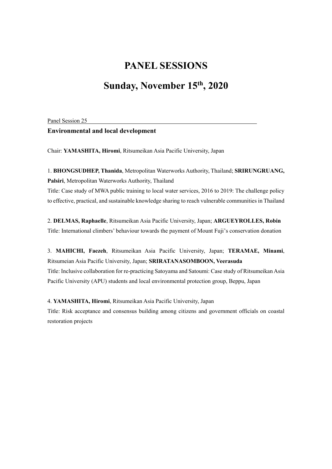## **Sunday, November 15th, 2020**

Panel Session 25

#### **Environmental and local development**

Chair: **YAMASHITA, Hiromi**, Ritsumeikan Asia Pacific University, Japan

1. **BHONGSUDHEP, Thanida**, Metropolitan Waterworks Authority, Thailand; **SRIRUNGRUANG, Palsiri**, Metropolitan Waterworks Authority, Thailand

Title: Case study of MWA public training to local water services, 2016 to 2019: The challenge policy to effective, practical, and sustainable knowledge sharing to reach vulnerable communities in Thailand

2. **DELMAS, Raphaelle**, Ritsumeikan Asia Pacific University, Japan; **ARGUEYROLLES, Robin** Title: International climbers' behaviour towards the payment of Mount Fuji's conservation donation

3. **MAHICHI, Faezeh**, Ritsumeikan Asia Pacific University, Japan; **TERAMAE, Minami**, Ritsumeian Asia Pacific University, Japan; **SRIRATANASOMBOON, Veerasuda** Title: Inclusive collaboration for re-practicing Satoyama and Satoumi: Case study of Ritsumeikan Asia Pacific University (APU) students and local environmental protection group, Beppu, Japan

4. **YAMASHITA, Hiromi**, Ritsumeikan Asia Pacific University, Japan Title: Risk acceptance and consensus building among citizens and government officials on coastal restoration projects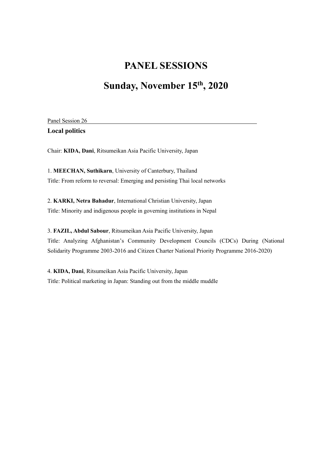## **Sunday, November 15th, 2020**

| Panel Session 26      |
|-----------------------|
| <b>Local politics</b> |

Chair: **KIDA, Dani**, Ritsumeikan Asia Pacific University, Japan

1. **MEECHAN, Suthikarn**, University of Canterbury, Thailand Title: From reform to reversal: Emerging and persisting Thai local networks

2. **KARKI, Netra Bahadur**, International Christian University, Japan Title: Minority and indigenous people in governing institutions in Nepal

3. **FAZIL, Abdul Sabour**, Ritsumeikan Asia Pacific University, Japan Title: Analyzing Afghanistan's Community Development Councils (CDCs) During (National Solidarity Programme 2003-2016 and Citizen Charter National Priority Programme 2016-2020)

4. **KIDA, Dani**, Ritsumeikan Asia Pacific University, Japan Title: Political marketing in Japan: Standing out from the middle muddle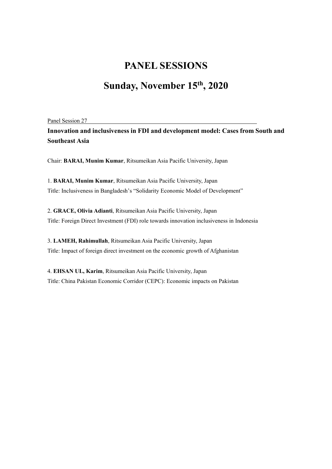## **Sunday, November 15th, 2020**

Panel Session 27

**Innovation and inclusiveness in FDI and development model: Cases from South and Southeast Asia**

Chair: **BARAI, Munim Kumar**, Ritsumeikan Asia Pacific University, Japan

1. **BARAI, Munim Kumar**, Ritsumeikan Asia Pacific University, Japan Title: Inclusiveness in Bangladesh's "Solidarity Economic Model of Development"

2. **GRACE, Olivia Adianti**, Ritsumeikan Asia Pacific University, Japan Title: Foreign Direct Investment (FDI) role towards innovation inclusiveness in Indonesia

3. **LAMEH, Rahimullah**, Ritsumeikan Asia Pacific University, Japan Title: Impact of foreign direct investment on the economic growth of Afghanistan

4. **EHSAN UL, Karim**, Ritsumeikan Asia Pacific University, Japan Title: China Pakistan Economic Corridor (CEPC): Economic impacts on Pakistan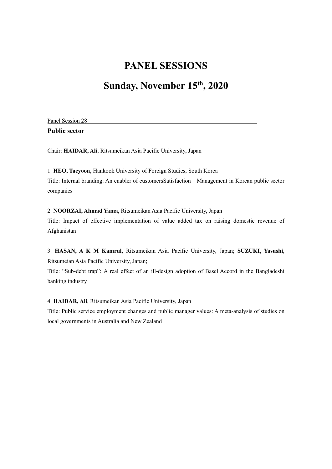## **Sunday, November 15th, 2020**

Panel Session 28

**Public sector**

Chair: **HAIDAR, Ali**, Ritsumeikan Asia Pacific University, Japan

1. **HEO, Taeyoon**, Hankook University of Foreign Studies, South Korea Title: Internal branding: An enabler of customersSatisfaction—Management in Korean public sector companies

2. **NOORZAI, Ahmad Yama**, Ritsumeikan Asia Pacific University, Japan Title: Impact of effective implementation of value added tax on raising domestic revenue of Afghanistan

3. **HASAN, A K M Kamrul**, Ritsumeikan Asia Pacific University, Japan; **SUZUKI, Yasushi**, Ritsumeian Asia Pacific University, Japan;

Title: "Sub-debt trap": A real effect of an ill-design adoption of Basel Accord in the Bangladeshi banking industry

4. **HAIDAR, Ali**, Ritsumeikan Asia Pacific University, Japan

Title: Public service employment changes and public manager values: A meta-analysis of studies on local governments in Australia and New Zealand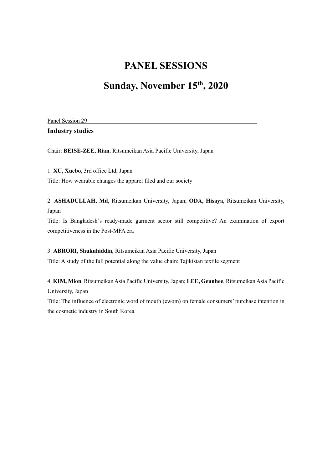## **Sunday, November 15th, 2020**

Panel Session 29

**Industry studies**

Chair: **BEISE-ZEE, Rian**, Ritsumeikan Asia Pacific University, Japan

1. **XU, Xuebo**, 3rd office Ltd, Japan

Title: How wearable changes the apparel filed and our society

2. **ASHADULLAH, Md**, Ritsumeikan University, Japan; **ODA, Hisaya**, Ritsumeikan University, Japan

Title: Is Bangladesh's ready-made garment sector still competitive? An examination of export competitiveness in the Post-MFA era

3. **ABRORI, Shukuhiddin**, Ritsumeikan Asia Pacific University, Japan Title: A study of the full potential along the value chain: Tajikistan textile segment

4. **KIM, Mion**, Ritsumeikan Asia Pacific University, Japan; **LEE, Geunhee**, Ritsumeikan Asia Pacific University, Japan

Title: The influence of electronic word of mouth (ewom) on female consumers' purchase intention in the cosmetic industry in South Korea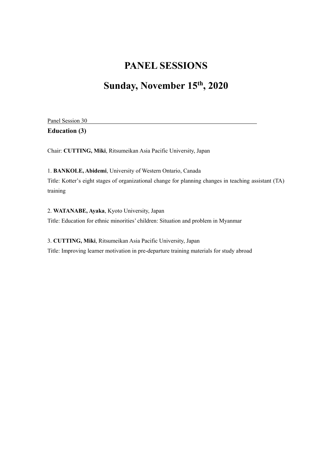# **Sunday, November 15th, 2020**

| Panel Session 30     |
|----------------------|
| <b>Education (3)</b> |

Chair: **CUTTING, Miki**, Ritsumeikan Asia Pacific University, Japan

1. **BANKOLE, Abidemi**, University of Western Ontario, Canada Title: Kotter's eight stages of organizational change for planning changes in teaching assistant (TA) training

2. **WATANABE, Ayaka**, Kyoto University, Japan Title: Education for ethnic minorities' children: Situation and problem in Myanmar

3. **CUTTING, Miki**, Ritsumeikan Asia Pacific University, Japan Title: Improving learner motivation in pre-departure training materials for study abroad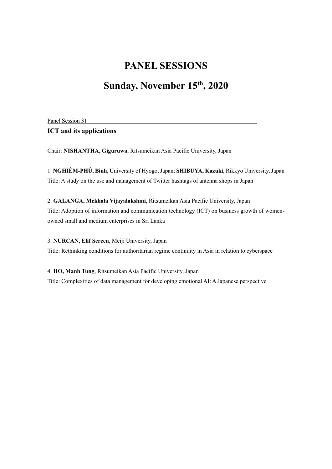## **Sunday, November 15th, 2020**

Panel Session 31

#### **ICT and its applications**

Chair: **NISHANTHA, Giguruwa**, Ritsumeikan Asia Pacific University, Japan

1. **NGHIÊM-PHÚ, Bình**, University of Hyogo, Japan; **SHIBUYA, Kazuki**, Rikkyo University, Japan Title: A study on the use and management of Twitter hashtags of antenna shops in Japan

2. **GALANGA, Mekhala Vijayalakshmi**, Ritsumeikan Asia Pacific University, Japan Title: Adoption of information and communication technology (ICT) on business growth of womenowned small and medium enterprises in Sri Lanka

3. **NURCAN, Elif Sercen**, Meiji University, Japan Title: Rethinking conditions for authoritarian regime continuity in Asia in relation to cyberspace

4. **HO, Manh Tung**, Ritsumeikan Asia Pacific University, Japan Title: Complexities of data management for developing emotional AI: A Japanese perspective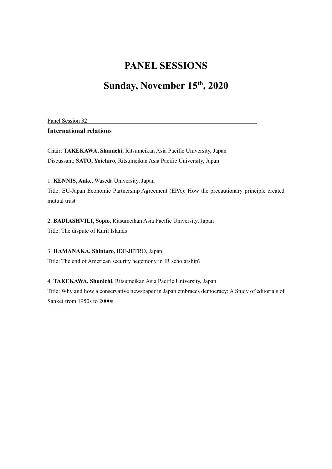## **Sunday, November 15th, 2020**

Panel Session 32

#### **International relations**

Chair: **TAKEKAWA, Shunichi**, Ritsumeikan Asia Pacific University, Japan Discussant: **SATO, Yoichiro**, Ritsumeikan Asia Pacific University, Japan

1. **KENNIS, Anke**, Waseda University, Japan

Title: EU-Japan Economic Partnership Agreement (EPA): How the precautionary principle created mutual trust

2. **BADIASHVILI, Sopio**, Ritsumeikan Asia Pacific University, Japan Title: The dispute of Kuril Islands

3. **HAMANAKA, Shintaro**, IDE-JETRO, Japan Title: The end of American security hegemony in IR scholarship?

4. **TAKEKAWA, Shunichi**, Ritsumeikan Asia Pacific University, Japan Title: Why and how a conservative newspaper in Japan embraces democracy: A Study of editorials of Sankei from 1950s to 2000s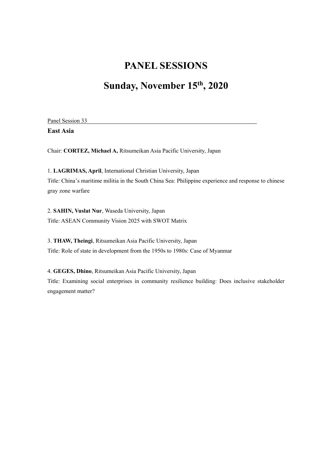## **Sunday, November 15th, 2020**

Panel Session 33

**East Asia**

Chair: **CORTEZ, Michael A,** Ritsumeikan Asia Pacific University, Japan

1. **LAGRIMAS, April**, International Christian University, Japan Title: China's maritime militia in the South China Sea: Philippine experience and response to chinese gray zone warfare

2. **SAHIN, Vuslat Nur**, Waseda University, Japan Title: ASEAN Community Vision 2025 with SWOT Matrix

3. **THAW, Theingi**, Ritsumeikan Asia Pacific University, Japan Title: Role of state in development from the 1950s to 1980s: Case of Myanmar

4. **GEGES, Dhino**, Ritsumeikan Asia Pacific University, Japan Title: Examining social enterprises in community resilience building: Does inclusive stakeholder engagement matter?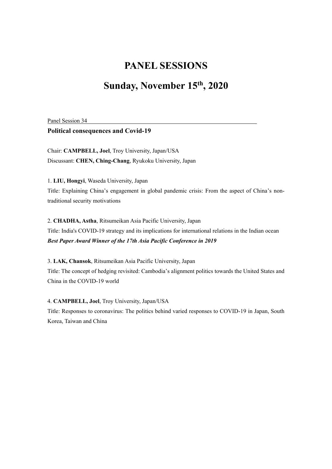## **Sunday, November 15th, 2020**

Panel Session 34

**Political consequences and Covid-19**

Chair: **CAMPBELL, Joel**, Troy University, Japan/USA Discussant: **CHEN, Ching-Chang**, Ryukoku University, Japan

1. **LIU, Hongyi**, Waseda University, Japan

Title: Explaining China's engagement in global pandemic crisis: From the aspect of China's nontraditional security motivations

2. **CHADHA, Astha**, Ritsumeikan Asia Pacific University, Japan Title: India's COVID-19 strategy and its implications for international relations in the Indian ocean *Best Paper Award Winner of the 17th Asia Pacific Conference in 2019*

3. **LAK, Chansok**, Ritsumeikan Asia Pacific University, Japan Title: The concept of hedging revisited: Cambodia's alignment politics towards the United States and China in the COVID-19 world

4. **CAMPBELL, Joel**, Troy University, Japan/USA Title: Responses to coronavirus: The politics behind varied responses to COVID-19 in Japan, South Korea, Taiwan and China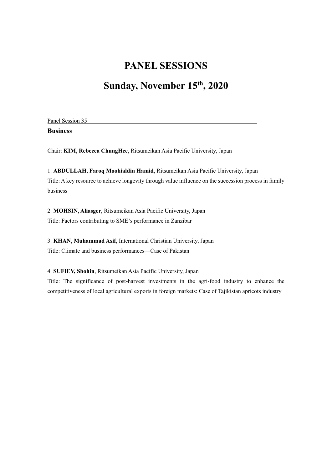## **Sunday, November 15th, 2020**

Panel Session 35 **Business**

Chair: **KIM, Rebecca ChungHee**, Ritsumeikan Asia Pacific University, Japan

1. **ABDULLAH, Faroq Moohialdin Hamid**, Ritsumeikan Asia Pacific University, Japan Title: A key resource to achieve longevity through value influence on the succession process in family business

2. **MOHSIN, Aliasger**, Ritsumeikan Asia Pacific University, Japan Title: Factors contributing to SME's performance in Zanzibar

3. **KHAN, Muhammad Asif**, International Christian University, Japan Title: Climate and business performances—Case of Pakistan

4. **SUFIEV, Shohin**, Ritsumeikan Asia Pacific University, Japan

Title: The significance of post-harvest investments in the agri-food industry to enhance the competitiveness of local agricultural exports in foreign markets: Case of Tajikistan apricots industry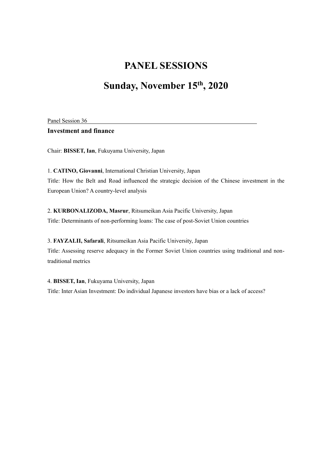## **Sunday, November 15th, 2020**

Panel Session 36

**Investment and finance**

Chair: **BISSET, Ian**, Fukuyama University, Japan

1. **CATINO, Giovanni**, International Christian University, Japan Title: How the Belt and Road influenced the strategic decision of the Chinese investment in the European Union? A country-level analysis

2. **KURBONALIZODA, Masrur**, Ritsumeikan Asia Pacific University, Japan Title: Determinants of non-performing loans: The case of post-Soviet Union countries

3. **FAYZALII, Safarali**, Ritsumeikan Asia Pacific University, Japan Title: Assessing reserve adequacy in the Former Soviet Union countries using traditional and nontraditional metrics

4. **BISSET, Ian**, Fukuyama University, Japan Title: Inter Asian Investment: Do individual Japanese investors have bias or a lack of access?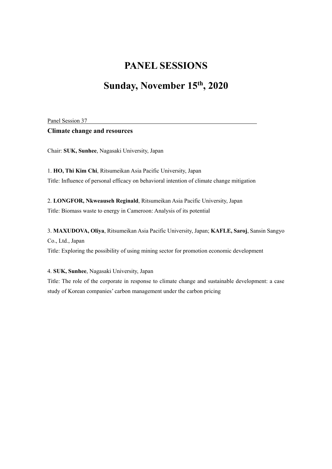## **Sunday, November 15th, 2020**

Panel Session 37

#### **Climate change and resources**

Chair: **SUK, Sunhee**, Nagasaki University, Japan

1. **HO, Thi Kim Chi**, Ritsumeikan Asia Pacific University, Japan Title: Influence of personal efficacy on behavioral intention of climate change mitigation

2. **LONGFOR, Nkweauseh Reginald**, Ritsumeikan Asia Pacific University, Japan Title: Biomass waste to energy in Cameroon: Analysis of its potential

3. **MAXUDOVA, Oliya**, Ritsumeikan Asia Pacific University, Japan; **KAFLE, Saroj**, Sansin Sangyo Co., Ltd., Japan

Title: Exploring the possibility of using mining sector for promotion economic development

4. **SUK, Sunhee**, Nagasaki University, Japan

Title: The role of the corporate in response to climate change and sustainable development: a case study of Korean companies' carbon management under the carbon pricing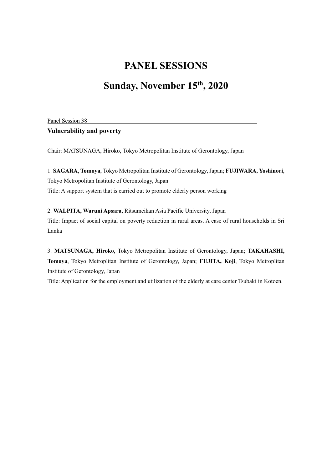## **Sunday, November 15th, 2020**

Panel Session 38

#### **Vulnerability and poverty**

Chair: MATSUNAGA, Hiroko, Tokyo Metropolitan Institute of Gerontology, Japan

1. **SAGARA, Tomoya**, Tokyo Metropolitan Institute of Gerontology, Japan; **FUJIWARA, Yoshinori**, Tokyo Metropolitan Institute of Gerontology, Japan Title: A support system that is carried out to promote elderly person working

2. **WALPITA, Waruni Apsara**, Ritsumeikan Asia Pacific University, Japan Title: Impact of social capital on poverty reduction in rural areas. A case of rural households in Sri Lanka

3. **MATSUNAGA, Hiroko**, Tokyo Metropolitan Institute of Gerontology, Japan; **TAKAHASHI, Tomoya**, Tokyo Metroplitan Institute of Gerontology, Japan; **FUJITA, Koji**, Tokyo Metroplitan Institute of Gerontology, Japan

Title: Application for the employment and utilization of the elderly at care center Tsubaki in Kotoen.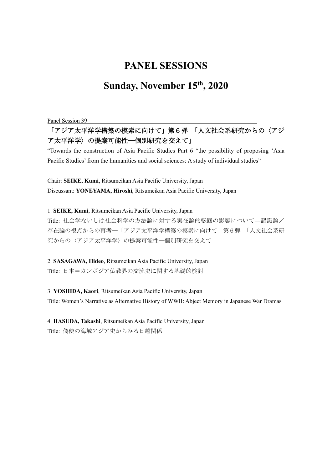## **Sunday, November 15th, 2020**

Panel Session 39

#### 「アジア太平洋学構築の模索に向けて」第6弾 「人文社会系研究からの〈アジ ア太平洋学〉の提案可能性―個別研究を交えて」

"Towards the construction of Asia Pacific Studies Part 6 "the possibility of proposing 'Asia Pacific Studies' from the humanities and social sciences: A study of individual studies"

Chair: **SEIKE, Kumi**, Ritsumeikan Asia Pacific University, Japan Discussant: **YONEYAMA, Hiroshi**, Ritsumeikan Asia Pacific University, Japan

1. **SEIKE, Kumi**, Ritsumeikan Asia Pacific University, Japan

Title: 社会学ないしは社会科学の方法論に対する実在論的転回の影響について―認識論/ 存在論の視点からの再考―「アジア太平洋学構築の模索に向けて」第6弾 「人文社会系研 究からの〈アジア太平洋学〉の提案可能性―個別研究を交えて」

2. **SASAGAWA, Hideo**, Ritsumeikan Asia Pacific University, Japan Title: 日本=カンボジア仏教界の交流史に関する基礎的検討

3. **YOSHIDA, Kaori**, Ritsumeikan Asia Pacific University, Japan Title: Women's Narrative as Alternative History of WWII: Abject Memory in Japanese War Dramas

4. **HASUDA, Takashi**, Ritsumeikan Asia Pacific University, Japan Title: 偽使の海域アジア史からみる日越関係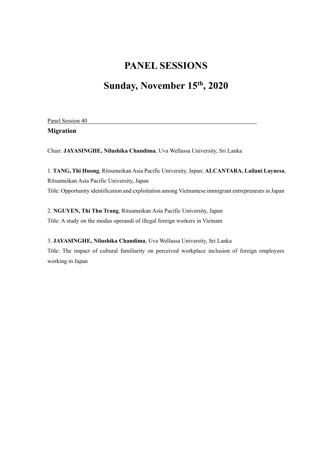# **Sunday, November 15th, 2020**

Panel Session 40 **Migration**

Chair: **JAYASINGHE, Nilushika Chandima**, Uva Wellassa University, Sri Lanka

1. **TANG, Thi Huong**, Ritsumeikan Asia Pacific University, Japan; **ALCANTARA, Lailani Laynesa**, Ritsumeikan Asia Pacific University, Japan Title: Opportunity identification and exploitation among Vietnamese immigrant entrepreneurs in Japan

2. **NGUYEN, Thi Thu Trang**, Ritsumeikan Asia Pacific University, Japan Title: A study on the modus operandi of illegal foreign workers in Vietnam

3. **JAYASINGHE, Nilushika Chandima**, Uva Wellassa University, Sri Lanka Title: The impact of cultural familiarity on perceived workplace inclusion of foreign employees working in Japan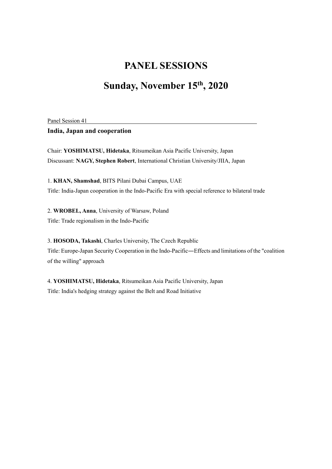## **Sunday, November 15th, 2020**

Panel Session 41

#### **India, Japan and cooperation**

Chair: **YOSHIMATSU, Hidetaka**, Ritsumeikan Asia Pacific University, Japan Discussant: **NAGY, Stephen Robert**, International Christian University/JIIA, Japan

1. **KHAN, Shamshad**, BITS Pilani Dubai Campus, UAE Title: India-Japan cooperation in the Indo-Pacific Era with special reference to bilateral trade

2. **WROBEL, Anna**, University of Warsaw, Poland Title: Trade regionalism in the Indo-Pacific

3. **HOSODA, Takashi**, Charles University, The Czech Republic Title: Europe-Japan Security Cooperation in the Indo-Pacific―Effects and limitations of the "coalition of the willing" approach

4. **YOSHIMATSU, Hidetaka**, Ritsumeikan Asia Pacific University, Japan Title: India's hedging strategy against the Belt and Road Initiative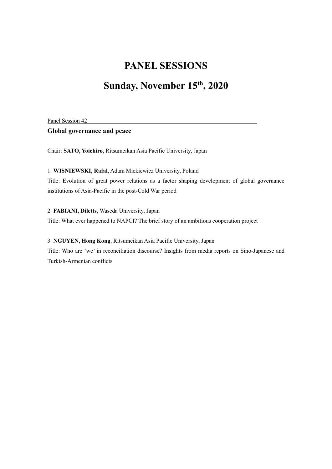# **Sunday, November 15th, 2020**

Panel Session 42

#### **Global governance and peace**

Chair: **SATO, Yoichiro,** Ritsumeikan Asia Pacific University, Japan

#### 1. **WISNIEWSKI, Rafal**, Adam Mickiewicz University, Poland

Title: Evolution of great power relations as a factor shaping development of global governance institutions of Asia-Pacific in the post-Cold War period

2. **FABIANI, Diletts**, Waseda University, Japan

Title: What ever happened to NAPCI? The brief story of an ambitious cooperation project

#### 3. **NGUYEN, Hong Kong**, Ritsumeikan Asia Pacific University, Japan

Title: Who are 'we' in reconciliation discourse? Insights from media reports on Sino-Japanese and Turkish-Armenian conflicts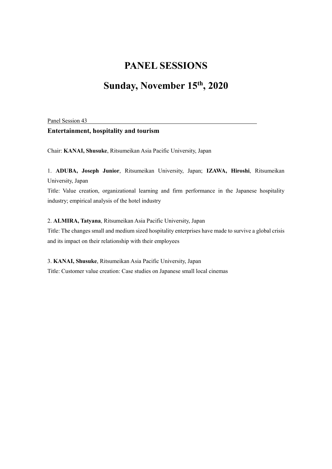# **Sunday, November 15th, 2020**

Panel Session 43

#### **Entertainment, hospitality and tourism**

Chair: **KANAI, Shusuke**, Ritsumeikan Asia Pacific University, Japan

#### 1. **ADUBA, Joseph Junior**, Ritsumeikan University, Japan; **IZAWA, Hiroshi**, Ritsumeikan University, Japan

Title: Value creation, organizational learning and firm performance in the Japanese hospitality industry; empirical analysis of the hotel industry

#### 2. **ALMIRA, Tatyana**, Ritsumeikan Asia Pacific University, Japan

Title: The changes small and medium sized hospitality enterprises have made to survive a global crisis and its impact on their relationship with their employees

3. **KANAI, Shusuke**, Ritsumeikan Asia Pacific University, Japan Title: Customer value creation: Case studies on Japanese small local cinemas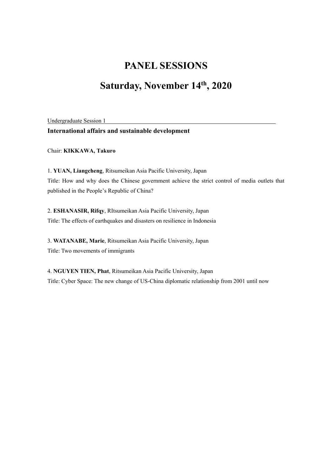# **Saturday, November 14th, 2020**

Undergraduate Session 1

#### **International affairs and sustainable development**

Chair: **KIKKAWA, Takuro**

1. **YUAN, Liangcheng**, Ritsumeikan Asia Pacific University, Japan Title: How and why does the Chinese government achieve the strict control of media outlets that published in the People's Republic of China?

2. **ESHANASIR, Rifqy**, RItsumeikan Asia Pacific University, Japan Title: The effects of earthquakes and disasters on resilience in Indonesia

3. **WATANABE, Marie**, Ritsumeikan Asia Pacific University, Japan Title: Two movements of immigrants

4. **NGUYEN TIEN, Phat**, Ritsumeikan Asia Pacific University, Japan Title: Cyber Space: The new change of US-China diplomatic relationship from 2001 until now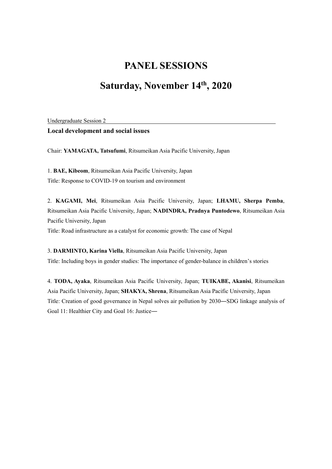## **Saturday, November 14th, 2020**

Undergraduate Session 2

#### **Local development and social issues**

Chair: **YAMAGATA, Tatsufumi**, Ritsumeikan Asia Pacific University, Japan

1. **BAE, Kibeom**, Ritsumeikan Asia Pacific University, Japan Title: Response to COVID-19 on tourism and environment

2. **KAGAMI, Mei**, Ritsumeikan Asia Pacific University, Japan; **LHAMU, Sherpa Pemba**, Ritsumeikan Asia Pacific University, Japan; **NADINDRA, Pradnya Puntodewo**, Ritsumeikan Asia Pacific University, Japan

Title: Road infrastructure as a catalyst for economic growth: The case of Nepal

3. **DARMINTO, Karina Viella**, Ritsumeikan Asia Pacific University, Japan Title: Including boys in gender studies: The importance of gender-balance in children's stories

4. **TODA, Ayaka**, Ritsumeikan Asia Pacific University, Japan; **TUIKABE, Akanisi**, Ritsumeikan Asia Pacific University, Japan; **SHAKYA, Shrena**, Ritsumeikan Asia Pacific University, Japan Title: Creation of good governance in Nepal solves air pollution by 2030―SDG linkage analysis of Goal 11: Healthier City and Goal 16: Justice―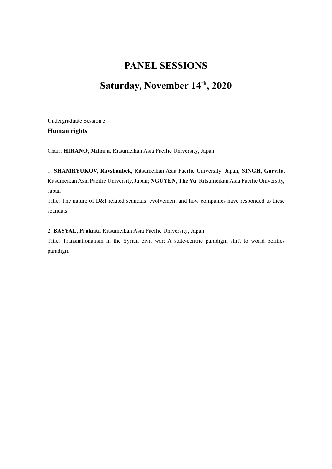# **Saturday, November 14th, 2020**

Undergraduate Session 3

**Human rights**

Chair: **HIRANO, Miharu**, Ritsumeikan Asia Pacific University, Japan

1. **SHAMRYUKOV, Ravshanbek**, Ritsumeikan Asia Pacific University, Japan; **SINGH, Garvita**, Ritsumeikan Asia Pacific University, Japan; **NGUYEN, The Vu**, Ritsumeikan Asia Pacific University, Japan

Title: The nature of D&I related scandals' evolvement and how companies have responded to these scandals

2. **BASYAL, Prakriti**, Ritsumeikan Asia Pacific University, Japan

Title: Transnationalism in the Syrian civil war: A state-centric paradigm shift to world politics paradigm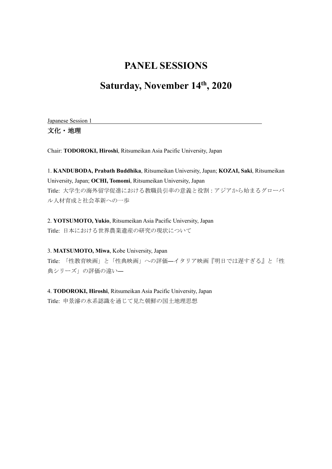## **Saturday, November 14th, 2020**

Japanese Session 1

文化・地理

Chair: **TODOROKI, Hiroshi**, Ritsumeikan Asia Pacific University, Japan

1. **KANDUBODA, Prabath Buddhika**, Ritsumeikan University, Japan; **KOZAI, Saki**, Ritsumeikan University, Japan; **OCHI, Tomomi**, Ritsumeikan University, Japan Title: 大学生の海外留学促進における教職員引率の意義と役割:アジアから始まるグローバ ル人材育成と社会革新への一歩

2. **YOTSUMOTO, Yukio**, Ritsumeikan Asia Pacific University, Japan Title: 日本における世界農業遺産の研究の現状について

3. **MATSUMOTO, Miwa**, Kobe University, Japan Title: 「性教育映画」と「性典映画」への評価―イタリア映画『明日では遅すぎる』と「性 典シリーズ」の評価の違い―

4. **TODOROKI, Hiroshi**, Ritsumeikan Asia Pacific University, Japan Title: 申景濬の水系認識を通じて見た朝鮮の国土地理思想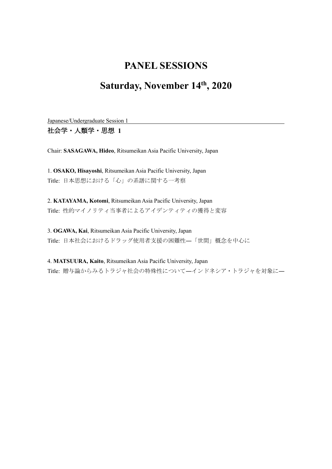## **Saturday, November 14th, 2020**

Japanese/Undergraduate Session 1

社会学・人類学・思想 **1**

Chair: **SASAGAWA, Hideo**, Ritsumeikan Asia Pacific University, Japan

1. **OSAKO, Hisayoshi**, Ritsumeikan Asia Pacific University, Japan Title: 日本思想における「心」の系譜に関する一考察

2. **KATAYAMA, Kotomi**, Ritsumeikan Asia Pacific University, Japan Title: 性的マイノリティ当事者によるアイデンティティの獲得と変容

3. **OGAWA, Kai**, Ritsumeikan Asia Pacific University, Japan Title: 日本社会におけるドラッグ使用者支援の困難性―「世間」概念を中心に

4. **MATSUURA, Kaito**, Ritsumeikan Asia Pacific University, Japan Title: 贈与論からみるトラジャ社会の特殊性について―インドネシア・トラジャを対象に―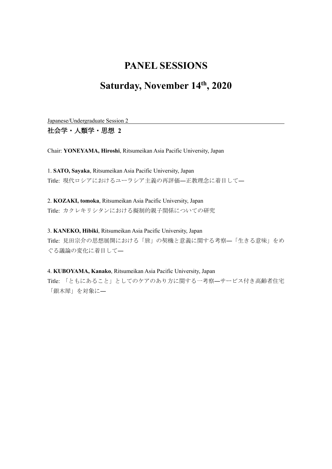## **Saturday, November 14th, 2020**

Japanese/Undergraduate Session 2

社会学・人類学・思想 **2**

Chair: **YONEYAMA, Hiroshi**, Ritsumeikan Asia Pacific University, Japan

1. **SATO, Sayaka**, Ritsumeikan Asia Pacific University, Japan Title: 現代ロシアにおけるユーラシア主義の再評価―正教理念に着目して―

2. **KOZAKI, tomoka**, Ritsumeikan Asia Pacific University, Japan Title: カクレキリシタンにおける擬制的親子関係についての研究

3. **KANEKO, Hibiki**, Ritsumeikan Asia Pacific University, Japan Title: 見田宗介の思想展開における「旅」の契機と意義に関する考察―「生きる意味」をめ ぐる議論の変化に着目して―

4. **KUBOYAMA, Kanako**, Ritsumeikan Asia Pacific University, Japan

Title: 「ともにあること」としてのケアのあり方に関する一考察―サービス付き高齢者住宅 「銀木犀」を対象に–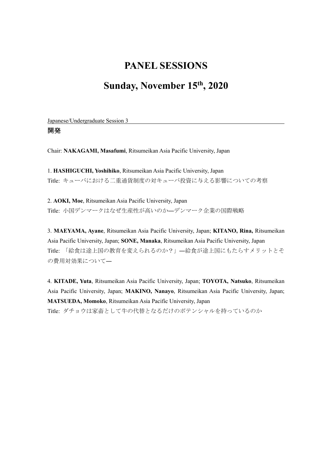## **Sunday, November 15th, 2020**

Japanese/Undergraduate Session 3

#### 開発

Chair: **NAKAGAMI, Masafumi**, Ritsumeikan Asia Pacific University, Japan

1. **HASHIGUCHI, Yoshihiko**, Ritsumeikan Asia Pacific University, Japan Title: キューバにおける二重通貨制度の対キューバ投資に与える影響についての考察

2. **AOKI, Moe**, Ritsumeikan Asia Pacific University, Japan Title: 小国デンマークはなぜ生産性が高いのか―デンマーク企業の国際戦略

3. **MAEYAMA, Ayane**, Ritsumeikan Asia Pacific University, Japan; **KITANO, Rina,** Ritsumeikan Asia Pacific University, Japan; **SONE, Manaka**, Ritsumeikan Asia Pacific University, Japan Title: 「給食は途上国の教育を変えられるのか?」―給食が途上国にもたらすメリットとそ の費用対効果について―

4. **KITADE, Yuta**, Ritsumeikan Asia Pacific University, Japan; **TOYOTA, Natsuko**, Ritsumeikan Asia Pacific University, Japan; **MAKINO, Nanayo**, Ritsumeikan Asia Pacific University, Japan; **MATSUEDA, Momoko**, Ritsumeikan Asia Pacific University, Japan Title: ダチョウは家畜として牛の代替となるだけのポテンシャルを持っているのか